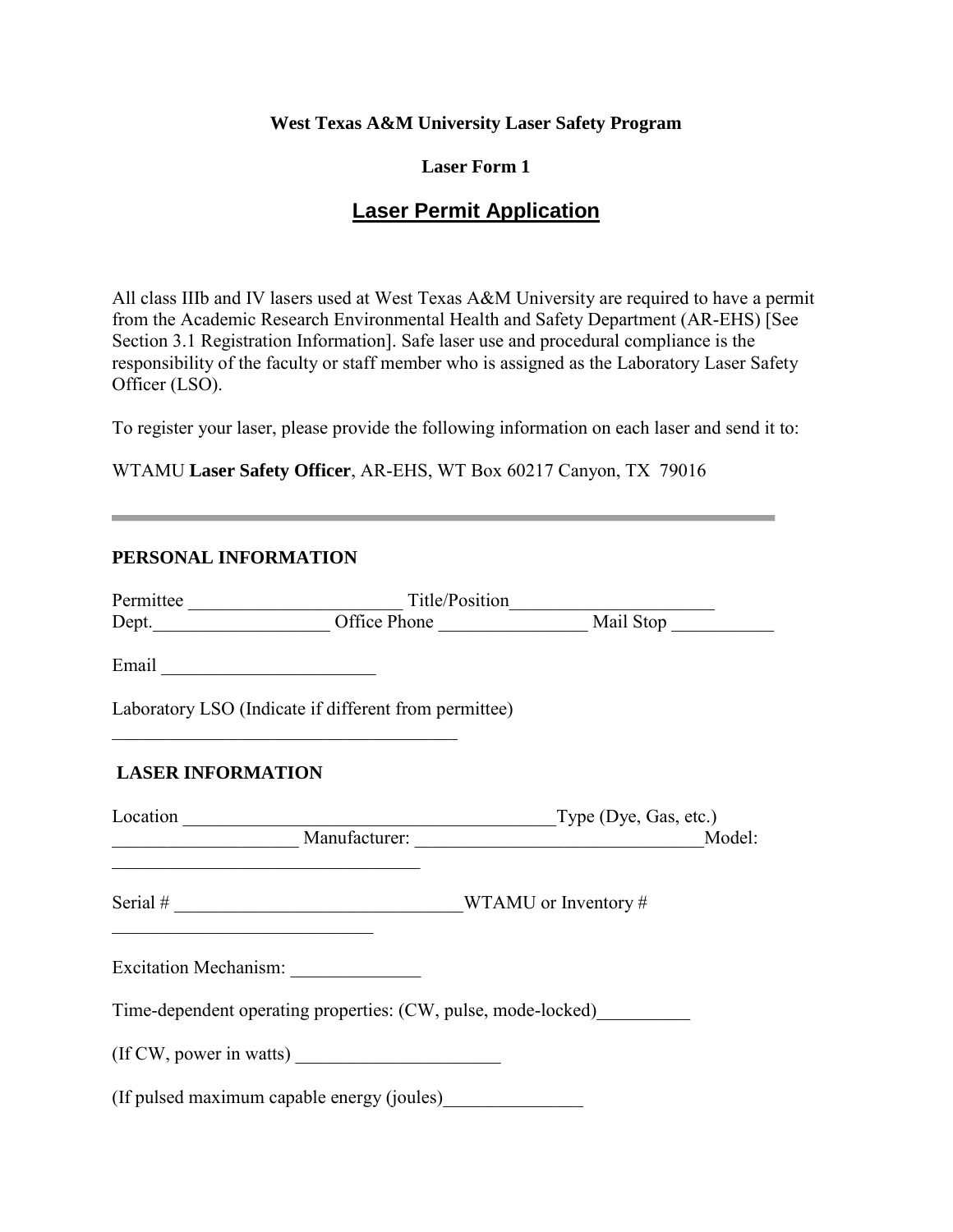## **West Texas A&M University Laser Safety Program**

## **Laser Form 1**

## **Laser Permit Application**

All class IIIb and IV lasers used at West Texas A&M University are required to have a permit from the Academic Research Environmental Health and Safety Department (AR-EHS) [See Section 3.1 Registration Information]. Safe laser use and procedural compliance is the responsibility of the faculty or staff member who is assigned as the Laboratory Laser Safety Officer (LSO).

To register your laser, please provide the following information on each laser and send it to:

WTAMU **Laser Safety Officer**, AR-EHS, WT Box 60217 Canyon, TX 79016

## **PERSONAL INFORMATION**

| Email                                                                                                                |                                                                                                                       |                                    |
|----------------------------------------------------------------------------------------------------------------------|-----------------------------------------------------------------------------------------------------------------------|------------------------------------|
|                                                                                                                      | Laboratory LSO (Indicate if different from permittee)                                                                 |                                    |
| <b>LASER INFORMATION</b>                                                                                             |                                                                                                                       |                                    |
|                                                                                                                      |                                                                                                                       | Location Type (Dye, Gas, etc.)     |
|                                                                                                                      |                                                                                                                       | Manufacturer: Manufacturer: Model: |
| <u> 2000 - Jan James James James James James James James James James James James James James James James James J</u> | <u> 1989 - Johann Barbara, markatur basar basal dan basa dan basal dan basal dan basal dan basal dan basal dan ba</u> |                                    |
|                                                                                                                      |                                                                                                                       |                                    |
|                                                                                                                      | Time-dependent operating properties: (CW, pulse, mode-locked)                                                         |                                    |
|                                                                                                                      | (If CW, power in watts)                                                                                               |                                    |
|                                                                                                                      | (If pulsed maximum capable energy (joules)__________                                                                  |                                    |